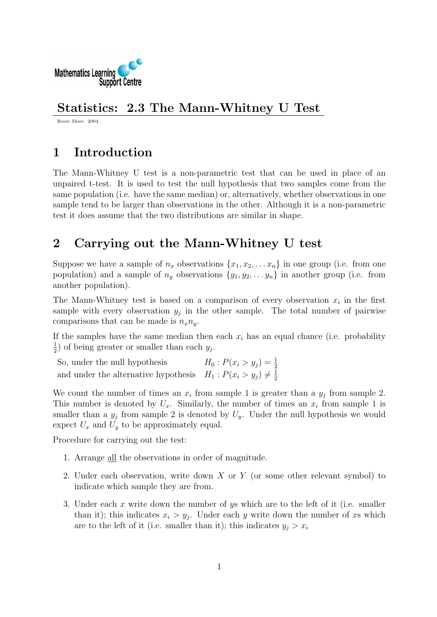

### Statistics: 2.3 The Mann-Whitney U Test

Rosie Shier. 2004.

## 1 Introduction

The Mann-Whitney U test is a non-parametric test that can be used in place of an unpaired t-test. It is used to test the null hypothesis that two samples come from the same population (i.e. have the same median) or, alternatively, whether observations in one sample tend to be larger than observations in the other. Although it is a non-parametric test it does assume that the two distributions are similar in shape.

# 2 Carrying out the Mann-Whitney U test

Suppose we have a sample of  $n_x$  observations  $\{x_1, x_2, \ldots x_n\}$  in one group (i.e. from one population) and a sample of  $n_y$  observations  $\{y_1, y_2, \ldots y_n\}$  in another group (i.e. from another population).

The Mann-Whitney test is based on a comparison of every observation  $x_i$  in the first sample with every observation  $y_j$  in the other sample. The total number of pairwise comparisons that can be made is  $n_x n_y$ .

If the samples have the same median then each  $x_i$  has an equal chance (i.e. probability 1  $\frac{1}{2}$ ) of being greater or smaller than each  $y_j$ .

So, under the null hypothesis  $H_0: P(x_i > y_j) = \frac{1}{2}$ and under the alternative hypothesis  $H_1: P(x_i > y_j) \neq \frac{1}{2}$ 2

We count the number of times an  $x_i$  from sample 1 is greater than a  $y_j$  from sample 2. This number is denoted by  $U_x$ . Similarly, the number of times an  $x_i$  from sample 1 is smaller than a  $y_j$  from sample 2 is denoted by  $U_y$ . Under the null hypothesis we would expect  $U_x$  and  $U_y$  to be approximately equal.

Procedure for carrying out the test:

- 1. Arrange all the observations in order of magnitude.
- 2. Under each observation, write down X or Y (or some other relevant symbol) to indicate which sample they are from.
- 3. Under each x write down the number of ys which are to the left of it (i.e. smaller than it); this indicates  $x_i > y_j$ . Under each y write down the number of xs which are to the left of it (i.e. smaller than it); this indicates  $y_i > x_i$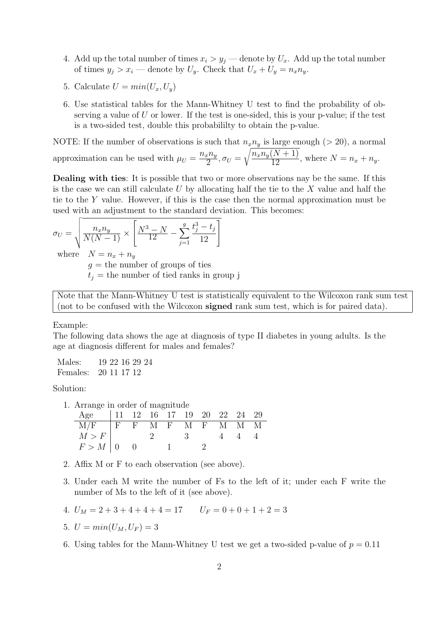- 4. Add up the total number of times  $x_i > y_j$  denote by  $U_x$ . Add up the total number of times  $y_j > x_i$  — denote by  $U_y$ . Check that  $U_x + U_y = n_x n_y$ .
- 5. Calculate  $U = min(U_x, U_y)$
- 6. Use statistical tables for the Mann-Whitney U test to find the probability of observing a value of  $U$  or lower. If the test is one-sided, this is your p-value; if the test is a two-sided test, double this probabililty to obtain the p-value.

NOTE: If the number of observations is such that  $n_x n_y$  is large enough (> 20), a normal approximation can be used with  $\mu_U = \frac{n_x n_y}{2}$  $\frac{x^{\prime \prime }y}{2},\sigma _{U}=$  $\sqrt{\frac{n_x n_y (N+1)}{12}}$ , where  $N = n_x + n_y$ .

Dealing with ties: It is possible that two or more observations nay be the same. If this is the case we can still calculate  $U$  by allocating half the tie to the  $X$  value and half the tie to the Y value. However, if this is the case then the normal approximation must be used with an adjustment to the standard deviation. This becomes:

$$
\sigma_U = \sqrt{\frac{n_x n_y}{N(N-1)} \times \left[ \frac{N^3 - N}{12} - \sum_{j=1}^g \frac{t_j^3 - t_j}{12} \right]}
$$

where  $N = n_x + n_y$ 

 $g =$  the number of groups of ties

 $t<sub>j</sub>$  = the number of tied ranks in group j

Note that the Mann-Whitney U test is statistically equivalent to the Wilcoxon rank sum test (not to be confused with the Wilcoxon signed rank sum test, which is for paired data).

Example:

The following data shows the age at diagnosis of type II diabetes in young adults. Is the age at diagnosis different for males and females?

| Males:               | 19 22 16 29 24 |  |  |
|----------------------|----------------|--|--|
| Females: 20 11 17 12 |                |  |  |

Solution:

| 1. Arrange in order of magnitude |  |                                                                                                                |    |  |     |   |
|----------------------------------|--|----------------------------------------------------------------------------------------------------------------|----|--|-----|---|
| Age                              |  | $\begin{array}{ccccccccc} & 11 & 12 & 16 & 17 & 19 & 20 & 22 & 24 & 29 \end{array}$                            |    |  |     |   |
| $\rm M/F$                        |  | $\begin{array}{cccccccccccccc}\n\text{IF} & \text{F} & \text{M} & \text{F} & \text{M} & \text{F}\n\end{array}$ |    |  | M M | M |
| M > F                            |  |                                                                                                                | -3 |  |     |   |

2. Affix M or F to each observation (see above).

 $F > M \begin{bmatrix} 0 & 0 & 1 \end{bmatrix}$  1

- 3. Under each M write the number of Fs to the left of it; under each F write the number of Ms to the left of it (see above).
- 4.  $U_M = 2 + 3 + 4 + 4 + 4 = 17$   $U_F = 0 + 0 + 1 + 2 = 3$
- 5.  $U = min(U_M, U_F) = 3$
- 6. Using tables for the Mann-Whitney U test we get a two-sided p-value of  $p = 0.11$